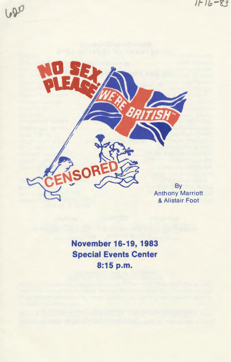$1116 - 83$ 





Anthony Marriott & Alistair Foot

**November 16-19, 1983 Special Events Center 8:15p.m.**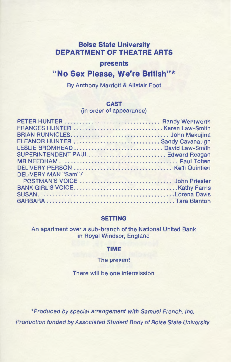# **Boise State University DEPARTMENT OF THEATRE ARTS**

#### **presents**

## **"No Sex Please, We're British"\***

By Anthony Marriott & Alistair Foot

#### **CAST**

(in order of appearance)

| ELEANOR HUNTER  Sandy Cavanaugh   |  |
|-----------------------------------|--|
|                                   |  |
| SUPERINTENDENT PAUL Edward Reagan |  |
|                                   |  |
|                                   |  |
| DELIVERY MAN "Sam"/               |  |
|                                   |  |
|                                   |  |
|                                   |  |
|                                   |  |

#### **SETTING**

An apartment over a sub-branch of the National United Bank in Royal Windsor, England

### **TIME**

#### The present

There will be one intermission

\*Produced by special arrangement with Samuel French, Inc. Production funded by Associated Student Body of Boise State University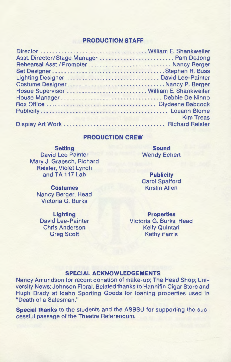### **PRODUCTION STAFF**

| Asst. Director/Stage Manager  Pam DeJong |                  |
|------------------------------------------|------------------|
| Rehearsal Asst./Prompter Nancy Berger    |                  |
|                                          |                  |
| Lighting Designer  David Lee-Painter     |                  |
| Costume DesignerNancy P. Berger          |                  |
| Hosue Supervisor  William E. Shankweiler |                  |
|                                          |                  |
|                                          |                  |
|                                          |                  |
|                                          | <b>Kim Treas</b> |
|                                          |                  |
|                                          |                  |

#### **PRODUCTION CREW**

**Setting**  David Lee Painter Mary J. Graesch, Richard Reister, Violet Lynch and TA 117 Lab

> **Costumes**  Nancy Berger, Head Victoria G. Burks

**Lighting**  David Lee-Painter Chris Anderson Greg Scott

**Sound**  Wendy Echert

**Publicity**  Carol Spafford Kirstin Allen

**Properties**  Victoria G. Burks, Head Kelly Quintari Kathy Farris

#### **SPECIAL ACKNOWLEDGEMENTS**

Nancy Amundson for recent donation of make-up; The Head Shop; University News; Johnson Floral. Belated thanks to Hannifin Cigar Store and Hugh Brady at Idaho Sporting Goods for loaning properties used in "Death of a Salesman."

**Special thanks** to the students and the ASBSU for supporting the successful passage of the Theatre Referendum.